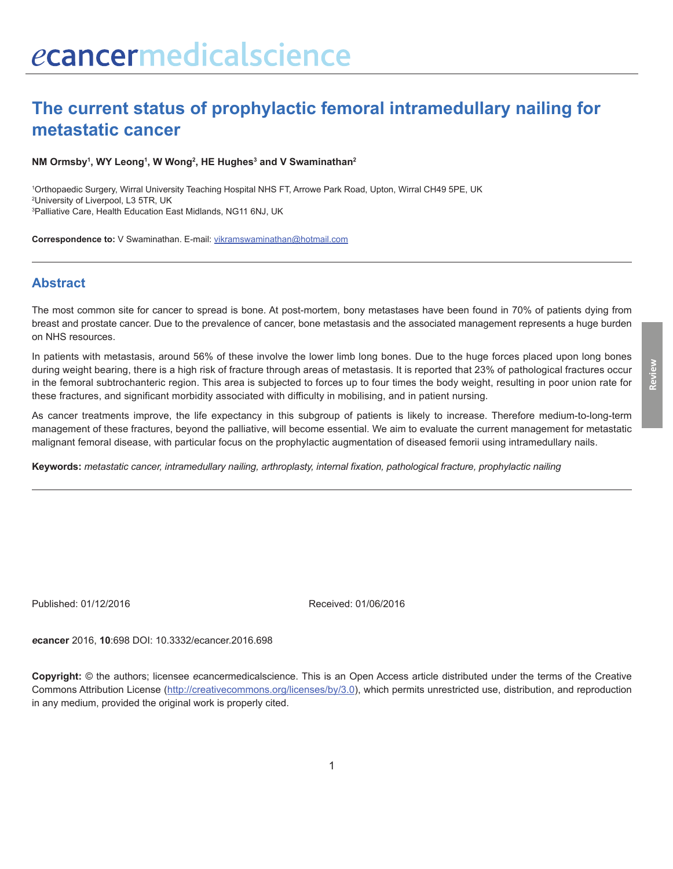# **The current status of prophylactic femoral intramedullary nailing for metastatic cancer**

#### **NM Ormsby1 , WY Leong1 , W Wong2 , HE Hughes3 and V Swaminathan2**

1 Orthopaedic Surgery, Wirral University Teaching Hospital NHS FT, Arrowe Park Road, Upton, Wirral CH49 5PE, UK 2 University of Liverpool, L3 5TR, UK 3 Palliative Care, Health Education East Midlands, NG11 6NJ, UK

**Correspondence to:** V Swaminathan. E-mail: vikramswaminathan@hotmail.com

### **Abstract**

The most common site for cancer to spread is bone. At post-mortem, bony metastases have been found in 70% of patients dying from breast and prostate cancer. Due to the prevalence of cancer, bone metastasis and the associated management represents a huge burden on NHS resources.

In patients with metastasis, around 56% of these involve the lower limb long bones. Due to the huge forces placed upon long bones during weight bearing, there is a high risk of fracture through areas of metastasis. It is reported that 23% of pathological fractures occur in the femoral subtrochanteric region. This area is subjected to forces up to four times the body weight, resulting in poor union rate for these fractures, and significant morbidity associated with difficulty in mobilising, and in patient nursing.

As cancer treatments improve, the life expectancy in this subgroup of patients is likely to increase. Therefore medium-to-long-term management of these fractures, beyond the palliative, will become essential. We aim to evaluate the current management for metastatic malignant femoral disease, with particular focus on the prophylactic augmentation of diseased femorii using intramedullary nails.

**Keywords:** *metastatic cancer, intramedullary nailing, arthroplasty, internal fixation, pathological fracture, prophylactic nailing*

Published: 01/12/2016 Received: 01/06/2016

*e***cancer** 2016, **10**:698 DOI: 10.3332/ecancer.2016.698

**Copyright:** © the authors; licensee *e*cancermedicalscience. This is an Open Access article distributed under the terms of the Creative Commons Attribution License (http://creativecommons.org/licenses/by/3.0), which permits unrestricted use, distribution, and reproduction in any medium, provided the original work is properly cited.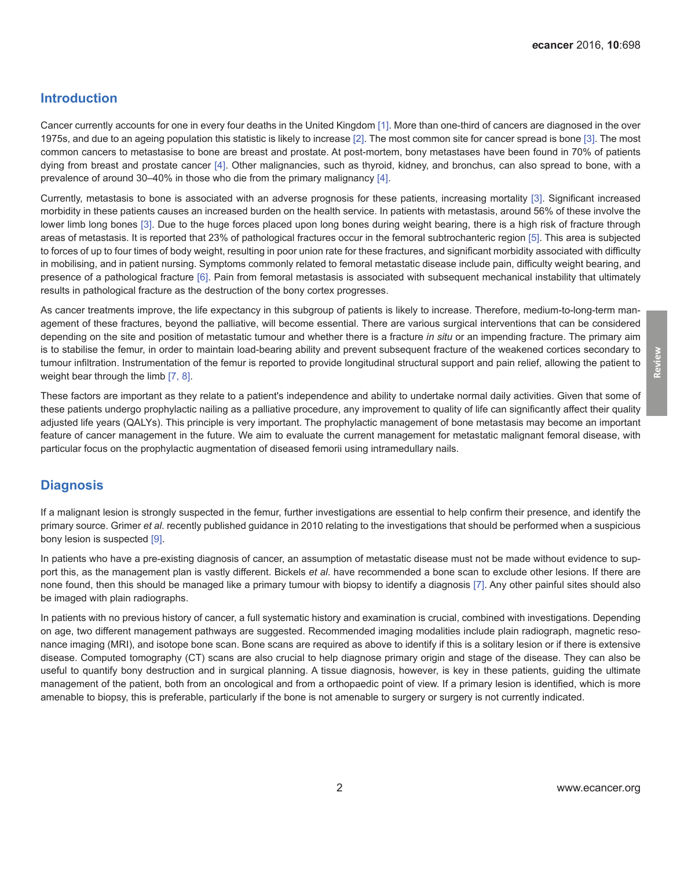# **Introduction**

Cancer currently accounts for one in every four deaths in the United Kingdom [\[1\].](#page-6-0) More than one-third of cancers are diagnosed in the over 1975s, and due to an ageing population this statistic is likely to increase [\[2\]](#page-6-0). The most common site for cancer spread is bone [\[3\]](#page-6-0). The most common cancers to metastasise to bone are breast and prostate. At post-mortem, bony metastases have been found in 70% of patients dying from breast and prostate cancer [\[4\]](#page-6-0). Other malignancies, such as thyroid, kidney, and bronchus, can also spread to bone, with a prevalence of around 30–40% in those who die from the primary malignancy [\[4\]](#page-6-0).

Currently, metastasis to bone is associated with an adverse prognosis for these patients, increasing mortality [\[3\]](#page-6-0). Significant increased morbidity in these patients causes an increased burden on the health service. In patients with metastasis, around 56% of these involve the lower limb long bones [\[3\]](#page-6-0). Due to the huge forces placed upon long bones during weight bearing, there is a high risk of fracture through areas of metastasis. It is reported that 23% of pathological fractures occur in the femoral subtrochanteric region [\[5\].](#page-6-0) This area is subjected to forces of up to four times of body weight, resulting in poor union rate for these fractures, and significant morbidity associated with difficulty in mobilising, and in patient nursing. Symptoms commonly related to femoral metastatic disease include pain, difficulty weight bearing, and presence of a pathological fracture [\[6\]](#page-6-0). Pain from femoral metastasis is associated with subsequent mechanical instability that ultimately results in pathological fracture as the destruction of the bony cortex progresses.

As cancer treatments improve, the life expectancy in this subgroup of patients is likely to increase. Therefore, medium-to-long-term management of these fractures, beyond the palliative, will become essential. There are various surgical interventions that can be considered depending on the site and position of metastatic tumour and whether there is a fracture *in situ* or an impending fracture. The primary aim is to stabilise the femur, in order to maintain load-bearing ability and prevent subsequent fracture of the weakened cortices secondary to tumour infiltration. Instrumentation of the femur is reported to provide longitudinal structural support and pain relief, allowing the patient to weight bear through the limb [\[7,](#page-6-0) [8\]](#page-6-0).

These factors are important as they relate to a patient's independence and ability to undertake normal daily activities. Given that some of these patients undergo prophylactic nailing as a palliative procedure, any improvement to quality of life can significantly affect their quality adjusted life years (QALYs). This principle is very important. The prophylactic management of bone metastasis may become an important feature of cancer management in the future. We aim to evaluate the current management for metastatic malignant femoral disease, with particular focus on the prophylactic augmentation of diseased femorii using intramedullary nails.

# **Diagnosis**

If a malignant lesion is strongly suspected in the femur, further investigations are essential to help confirm their presence, and identify the primary source. Grimer *et al*. recently published guidance in 2010 relating to the investigations that should be performed when a suspicious bony lesion is suspected [\[9\].](#page-6-0)

In patients who have a pre-existing diagnosis of cancer, an assumption of metastatic disease must not be made without evidence to support this, as the management plan is vastly different. Bickels *et al*. have recommended a bone scan to exclude other lesions. If there are none found, then this should be managed like a primary tumour with biopsy to identify a diagnosis [\[7\].](#page-6-0) Any other painful sites should also be imaged with plain radiographs.

In patients with no previous history of cancer, a full systematic history and examination is crucial, combined with investigations. Depending on age, two different management pathways are suggested. Recommended imaging modalities include plain radiograph, magnetic resonance imaging (MRI), and isotope bone scan. Bone scans are required as above to identify if this is a solitary lesion or if there is extensive disease. Computed tomography (CT) scans are also crucial to help diagnose primary origin and stage of the disease. They can also be useful to quantify bony destruction and in surgical planning. A tissue diagnosis, however, is key in these patients, guiding the ultimate management of the patient, both from an oncological and from a orthopaedic point of view. If a primary lesion is identified, which is more amenable to biopsy, this is preferable, particularly if the bone is not amenable to surgery or surgery is not currently indicated.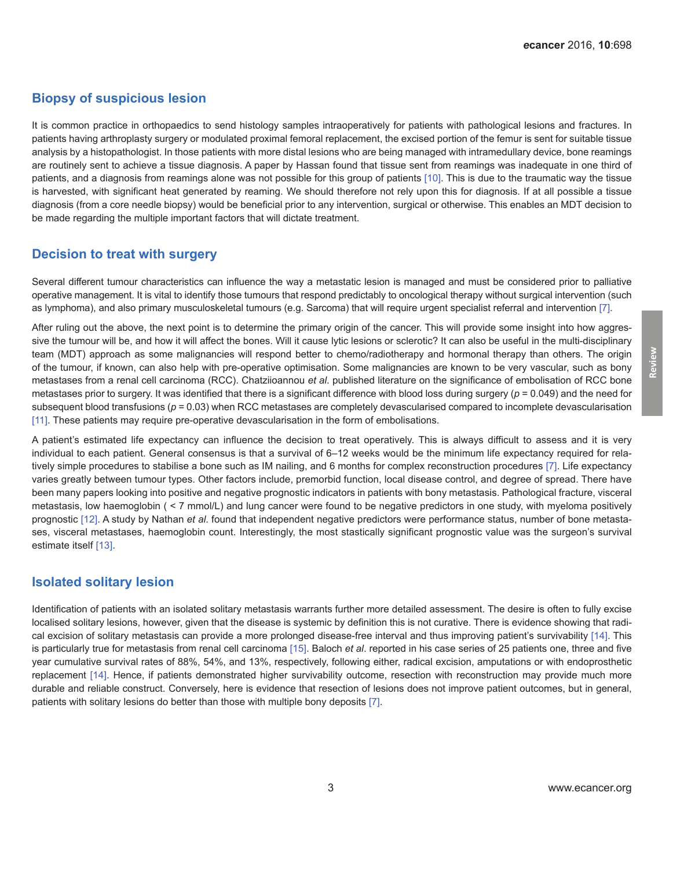# **Biopsy of suspicious lesion**

It is common practice in orthopaedics to send histology samples intraoperatively for patients with pathological lesions and fractures. In patients having arthroplasty surgery or modulated proximal femoral replacement, the excised portion of the femur is sent for suitable tissue analysis by a histopathologist. In those patients with more distal lesions who are being managed with intramedullary device, bone reamings are routinely sent to achieve a tissue diagnosis. A paper by Hassan found that tissue sent from reamings was inadequate in one third of patients, and a diagnosis from reamings alone was not possible for this group of patients [\[10\]](#page-6-0). This is due to the traumatic way the tissue is harvested, with significant heat generated by reaming. We should therefore not rely upon this for diagnosis. If at all possible a tissue diagnosis (from a core needle biopsy) would be beneficial prior to any intervention, surgical or otherwise. This enables an MDT decision to be made regarding the multiple important factors that will dictate treatment.

# **Decision to treat with surgery**

Several different tumour characteristics can influence the way a metastatic lesion is managed and must be considered prior to palliative operative management. It is vital to identify those tumours that respond predictably to oncological therapy without surgical intervention (such as lymphoma), and also primary musculoskeletal tumours (e.g. Sarcoma) that will require urgent specialist referral and intervention [\[7\]](#page-6-0).

After ruling out the above, the next point is to determine the primary origin of the cancer. This will provide some insight into how aggressive the tumour will be, and how it will affect the bones. Will it cause lytic lesions or sclerotic? It can also be useful in the multi-disciplinary team (MDT) approach as some malignancies will respond better to chemo/radiotherapy and hormonal therapy than others. The origin of the tumour, if known, can also help with pre-operative optimisation. Some malignancies are known to be very vascular, such as bony metastases from a renal cell carcinoma (RCC). Chatziioannou *et al*. published literature on the significance of embolisation of RCC bone metastases prior to surgery. It was identified that there is a significant difference with blood loss during surgery (*p* = 0.049) and the need for subsequent blood transfusions ( $p = 0.03$ ) when RCC metastases are completely devascularised compared to incomplete devascularisation [\[11\]](#page-7-0). These patients may require pre-operative devascularisation in the form of embolisations.

A patient's estimated life expectancy can influence the decision to treat operatively. This is always difficult to assess and it is very individual to each patient. General consensus is that a survival of 6–12 weeks would be the minimum life expectancy required for relatively simple procedures to stabilise a bone such as IM nailing, and 6 months for complex reconstruction procedures [\[7\].](#page-6-0) Life expectancy varies greatly between tumour types. Other factors include, premorbid function, local disease control, and degree of spread. There have been many papers looking into positive and negative prognostic indicators in patients with bony metastasis. Pathological fracture, visceral metastasis, low haemoglobin ( < 7 mmol/L) and lung cancer were found to be negative predictors in one study, with myeloma positively prognostic [\[12\].](#page-7-0) A study by Nathan *et al*. found that independent negative predictors were performance status, number of bone metastases, visceral metastases, haemoglobin count. Interestingly, the most stastically significant prognostic value was the surgeon's survival estimate itself [\[13\]](#page-7-0).

## **Isolated solitary lesion**

Identification of patients with an isolated solitary metastasis warrants further more detailed assessment. The desire is often to fully excise localised solitary lesions, however, given that the disease is systemic by definition this is not curative. There is evidence showing that radical excision of solitary metastasis can provide a more prolonged disease-free interval and thus improving patient's survivability [\[14\].](#page-7-0) This is particularly true for metastasis from renal cell carcinoma [\[15\].](#page-7-0) Baloch *et al*. reported in his case series of 25 patients one, three and five year cumulative survival rates of 88%, 54%, and 13%, respectively, following either, radical excision, amputations or with endoprosthetic replacement [\[14\]](#page-7-0). Hence, if patients demonstrated higher survivability outcome, resection with reconstruction may provide much more durable and reliable construct. Conversely, here is evidence that resection of lesions does not improve patient outcomes, but in general, patients with solitary lesions do better than those with multiple bony deposits [\[7\].](#page-6-0)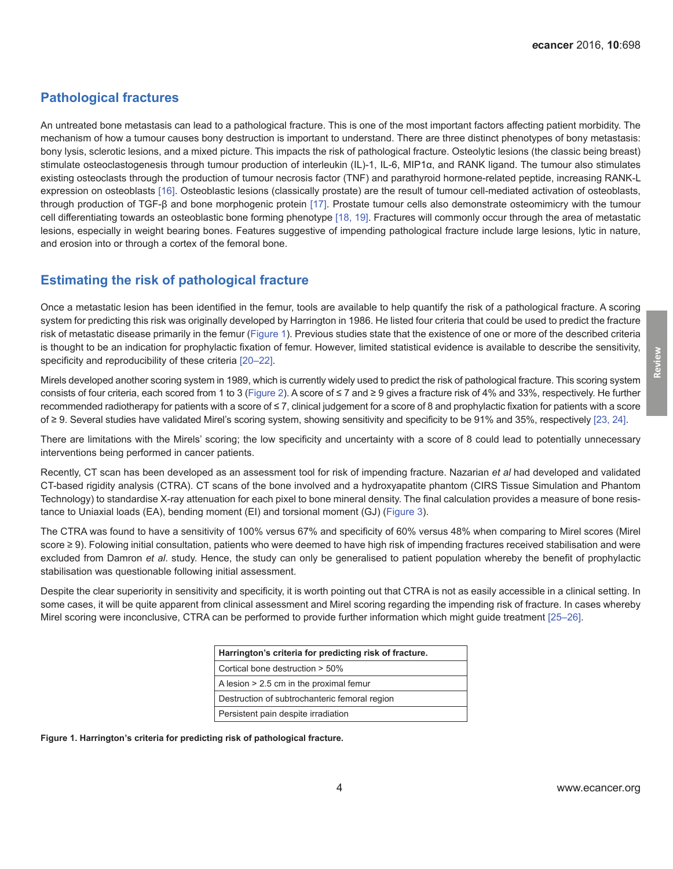# **Pathological fractures**

An untreated bone metastasis can lead to a pathological fracture. This is one of the most important factors affecting patient morbidity. The mechanism of how a tumour causes bony destruction is important to understand. There are three distinct phenotypes of bony metastasis: bony lysis, sclerotic lesions, and a mixed picture. This impacts the risk of pathological fracture. Osteolytic lesions (the classic being breast) stimulate osteoclastogenesis through tumour production of interleukin (IL)-1, IL-6, MIP1α, and RANK ligand. The tumour also stimulates existing osteoclasts through the production of tumour necrosis factor (TNF) and parathyroid hormone-related peptide, increasing RANK-L expression on osteoblasts [\[16\]](#page-7-0). Osteoblastic lesions (classically prostate) are the result of tumour cell-mediated activation of osteoblasts, through production of TGF-β and bone morphogenic protein [\[17\]](#page-7-0). Prostate tumour cells also demonstrate osteomimicry with the tumour cell differentiating towards an osteoblastic bone forming phenotype [\[18,](#page-7-0) [19\]](#page-7-0). Fractures will commonly occur through the area of metastatic lesions, especially in weight bearing bones. Features suggestive of impending pathological fracture include large lesions, lytic in nature, and erosion into or through a cortex of the femoral bone.

# **Estimating the risk of pathological fracture**

Once a metastatic lesion has been identified in the femur, tools are available to help quantify the risk of a pathological fracture. A scoring system for predicting this risk was originally developed by Harrington in 1986. He listed four criteria that could be used to predict the fracture risk of metastatic disease primarily in the femur (Figure 1). Previous studies state that the existence of one or more of the described criteria is thought to be an indication for prophylactic fixation of femur. However, limited statistical evidence is available to describe the sensitivity, specificity and reproducibility of these criteria [\[20–22\]](#page-7-0).

Mirels developed another scoring system in 1989, which is currently widely used to predict the risk of pathological fracture. This scoring system consists of four criteria, each scored from 1 to 3 ([Figure 2](#page-4-0)). A score of ≤ 7 and ≥ 9 gives a fracture risk of 4% and 33%, respectively. He further recommended radiotherapy for patients with a score of ≤ 7, clinical judgement for a score of 8 and prophylactic fixation for patients with a score of ≥ 9. Several studies have validated Mirel's scoring system, showing sensitivity and specificity to be 91% and 35%, respectively [\[23, 24\].](#page-7-0)

There are limitations with the Mirels' scoring; the low specificity and uncertainty with a score of 8 could lead to potentially unnecessary interventions being performed in cancer patients.

Recently, CT scan has been developed as an assessment tool for risk of impending fracture. Nazarian *et al* had developed and validated CT-based rigidity analysis (CTRA). CT scans of the bone involved and a hydroxyapatite phantom (CIRS Tissue Simulation and Phantom Technology) to standardise X-ray attenuation for each pixel to bone mineral density. The final calculation provides a measure of bone resistance to Uniaxial loads (EA), bending moment (EI) and torsional moment (GJ) (Figure 3).

The CTRA was found to have a sensitivity of 100% versus 67% and specificity of 60% versus 48% when comparing to Mirel scores (Mirel score ≥ 9). Folowing initial consultation, patients who were deemed to have high risk of impending fractures received stabilisation and were excluded from Damron *et al*. study. Hence, the study can only be generalised to patient population whereby the benefit of prophylactic stabilisation was questionable following initial assessment.

Despite the clear superiority in sensitivity and specificity, it is worth pointing out that CTRA is not as easily accessible in a clinical setting. In some cases, it will be quite apparent from clinical assessment and Mirel scoring regarding the impending risk of fracture. In cases whereby Mirel scoring were inconclusive, CTRA can be performed to provide further information which might guide treatment [\[25–26\].](#page-7-0)

| Harrington's criteria for predicting risk of fracture. |
|--------------------------------------------------------|
| Cortical bone destruction > 50%                        |
| A lesion $> 2.5$ cm in the proximal femur              |
| Destruction of subtrochanteric femoral region          |
| Persistent pain despite irradiation                    |

**Figure 1. Harrington's criteria for predicting risk of pathological fracture.**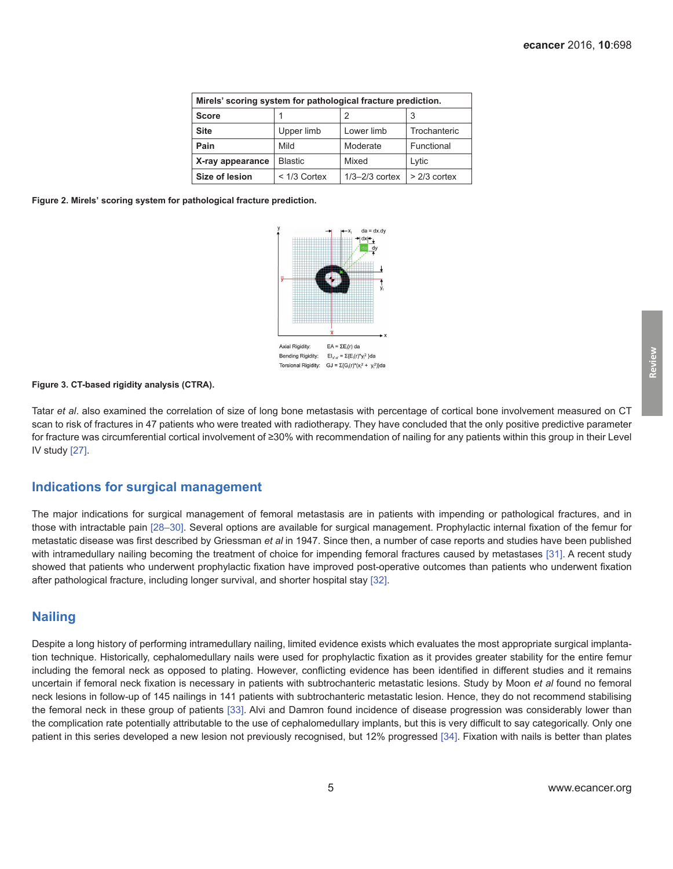| Mirels' scoring system for pathological fracture prediction. |                |                    |               |  |
|--------------------------------------------------------------|----------------|--------------------|---------------|--|
| <b>Score</b>                                                 |                | 2                  | 3             |  |
| <b>Site</b>                                                  | Upper limb     | Lower limb         | Trochanteric  |  |
| Pain                                                         | Mild           | Moderate           | Functional    |  |
| X-ray appearance                                             | <b>Blastic</b> | Mixed              | Lytic         |  |
| Size of lesion                                               | $<$ 1/3 Cortex | $1/3 - 2/3$ cortex | $>2/3$ cortex |  |

<span id="page-4-0"></span>**Figure 2. Mirels' scoring system for pathological fracture prediction.**



**Figure 3. CT-based rigidity analysis (CTRA).**

Tatar *et al*. also examined the correlation of size of long bone metastasis with percentage of cortical bone involvement measured on CT scan to risk of fractures in 47 patients who were treated with radiotherapy. They have concluded that the only positive predictive parameter for fracture was circumferential cortical involvement of ≥30% with recommendation of nailing for any patients within this group in their Level IV study [\[27\]](#page-7-0).

#### **Indications for surgical management**

The major indications for surgical management of femoral metastasis are in patients with impending or pathological fractures, and in those with intractable pain [\[28–](#page-7-0)[30\]](#page-8-0). Several options are available for surgical management. Prophylactic internal fixation of the femur for metastatic disease was first described by Griessman *et al* in 1947. Since then, a number of case reports and studies have been published with intramedullary nailing becoming the treatment of choice for impending femoral fractures caused by metastases [\[31\].](#page-8-0) A recent study showed that patients who underwent prophylactic fixation have improved post-operative outcomes than patients who underwent fixation after pathological fracture, including longer survival, and shorter hospital stay [\[32\]](#page-8-0).

## **Nailing**

Despite a long history of performing intramedullary nailing, limited evidence exists which evaluates the most appropriate surgical implantation technique. Historically, cephalomedullary nails were used for prophylactic fixation as it provides greater stability for the entire femur including the femoral neck as opposed to plating. However, conflicting evidence has been identified in different studies and it remains uncertain if femoral neck fixation is necessary in patients with subtrochanteric metastatic lesions. Study by Moon *et al* found no femoral neck lesions in follow-up of 145 nailings in 141 patients with subtrochanteric metastatic lesion. Hence, they do not recommend stabilising the femoral neck in these group of patients [\[33\].](#page-8-0) Alvi and Damron found incidence of disease progression was considerably lower than the complication rate potentially attributable to the use of cephalomedullary implants, but this is very difficult to say categorically. Only one patient in this series developed a new lesion not previously recognised, but 12% progressed [\[34\]](#page-8-0). Fixation with nails is better than plates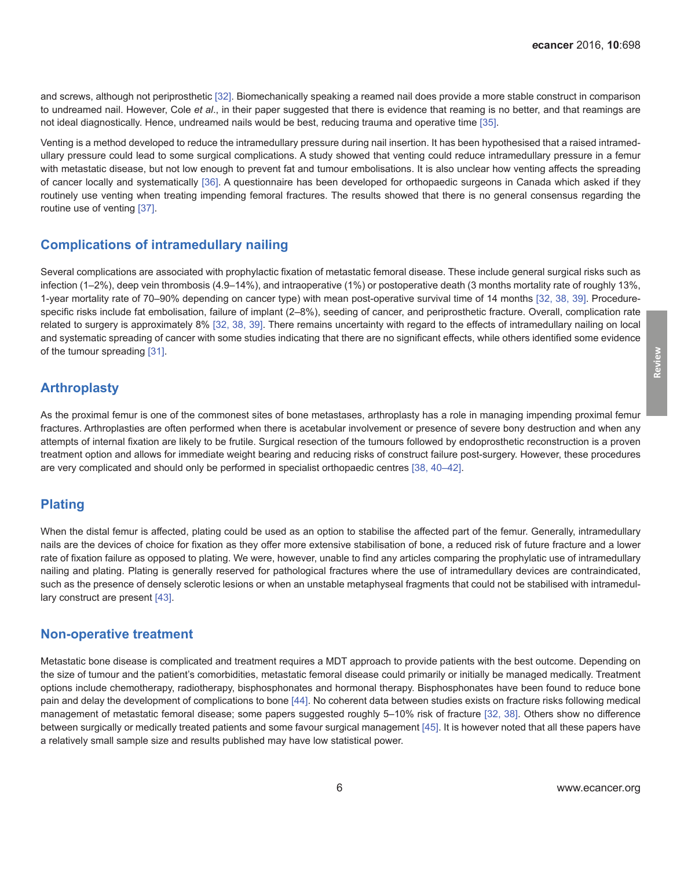and screws, although not periprosthetic [\[32\]](#page-8-0). Biomechanically speaking a reamed nail does provide a more stable construct in comparison to undreamed nail. However, Cole *et al*., in their paper suggested that there is evidence that reaming is no better, and that reamings are not ideal diagnostically. Hence, undreamed nails would be best, reducing trauma and operative time [\[35\].](#page-8-0)

Venting is a method developed to reduce the intramedullary pressure during nail insertion. It has been hypothesised that a raised intramedullary pressure could lead to some surgical complications. A study showed that venting could reduce intramedullary pressure in a femur with metastatic disease, but not low enough to prevent fat and tumour embolisations. It is also unclear how venting affects the spreading of cancer locally and systematically [\[36\].](#page-8-0) A questionnaire has been developed for orthopaedic surgeons in Canada which asked if they routinely use venting when treating impending femoral fractures. The results showed that there is no general consensus regarding the routine use of venting [\[37\].](#page-8-0)

#### **Complications of intramedullary nailing**

Several complications are associated with prophylactic fixation of metastatic femoral disease. These include general surgical risks such as infection (1–2%), deep vein thrombosis (4.9–14%), and intraoperative (1%) or postoperative death (3 months mortality rate of roughly 13%, 1-year mortality rate of 70–90% depending on cancer type) with mean post-operative survival time of 14 months [\[32, 38,](#page-8-0) [39\]](#page-8-0). Procedurespecific risks include fat embolisation, failure of implant (2-8%), seeding of cancer, and periprosthetic fracture. Overall, complication rate related to surgery is approximately 8% [\[32, 38, 39\]](#page-8-0). There remains uncertainty with regard to the effects of intramedullary nailing on local and systematic spreading of cancer with some studies indicating that there are no significant effects, while others identified some evidence of the tumour spreading [\[31\].](#page-8-0)

## **Arthroplasty**

As the proximal femur is one of the commonest sites of bone metastases, arthroplasty has a role in managing impending proximal femur fractures. Arthroplasties are often performed when there is acetabular involvement or presence of severe bony destruction and when any attempts of internal fixation are likely to be frutile. Surgical resection of the tumours followed by endoprosthetic reconstruction is a proven treatment option and allows for immediate weight bearing and reducing risks of construct failure post-surgery. However, these procedures are very complicated and should only be performed in specialist orthopaedic centres [\[38, 40–42\].](#page-8-0)

## **Plating**

When the distal femur is affected, plating could be used as an option to stabilise the affected part of the femur. Generally, intramedullary nails are the devices of choice for fixation as they offer more extensive stabilisation of bone, a reduced risk of future fracture and a lower rate of fixation failure as opposed to plating. We were, however, unable to find any articles comparing the prophylatic use of intramedullary nailing and plating. Plating is generally reserved for pathological fractures where the use of intramedullary devices are contraindicated, such as the presence of densely sclerotic lesions or when an unstable metaphyseal fragments that could not be stabilised with intramedullary construct are present [\[43\]](#page-8-0).

#### **Non-operative treatment**

Metastatic bone disease is complicated and treatment requires a MDT approach to provide patients with the best outcome. Depending on the size of tumour and the patient's comorbidities, metastatic femoral disease could primarily or initially be managed medically. Treatment options include chemotherapy, radiotherapy, bisphosphonates and hormonal therapy. Bisphosphonates have been found to reduce bone pain and delay the development of complications to bone [\[44\]](#page-8-0). No coherent data between studies exists on fracture risks following medical management of metastatic femoral disease; some papers suggested roughly 5-10% risk of fracture [\[32, 38\]](#page-8-0). Others show no difference between surgically or medically treated patients and some favour surgical management [\[45\]](#page-8-0). It is however noted that all these papers have a relatively small sample size and results published may have low statistical power.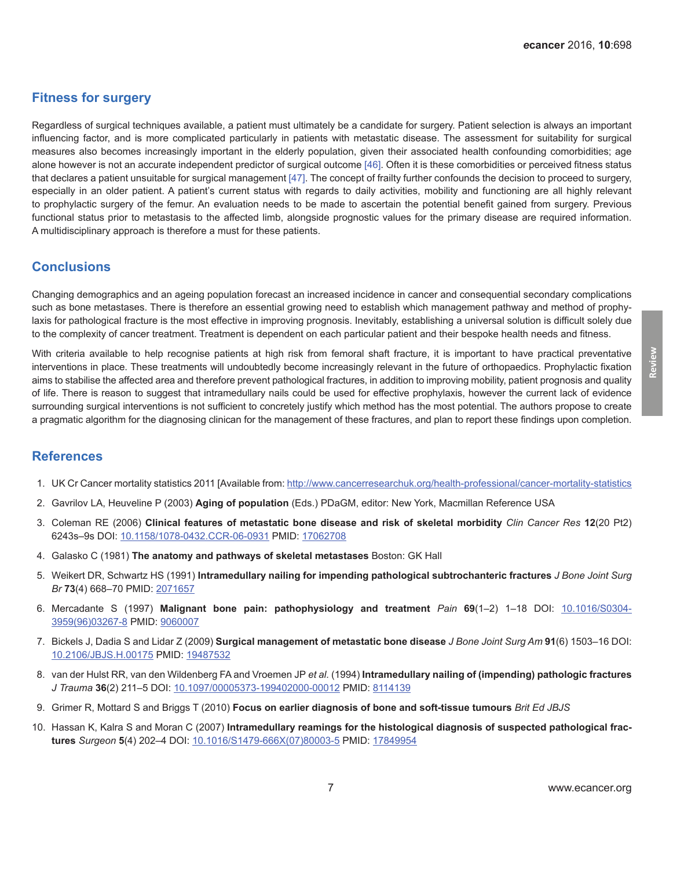# <span id="page-6-0"></span>**Fitness for surgery**

Regardless of surgical techniques available, a patient must ultimately be a candidate for surgery. Patient selection is always an important influencing factor, and is more complicated particularly in patients with metastatic disease. The assessment for suitability for surgical measures also becomes increasingly important in the elderly population, given their associated health confounding comorbidities; age alone however is not an accurate independent predictor of surgical outcome [\[46\].](#page-8-0) Often it is these comorbidities or perceived fitness status that declares a patient unsuitable for surgical management [\[47\].](#page-8-0) The concept of frailty further confounds the decision to proceed to surgery, especially in an older patient. A patient's current status with regards to daily activities, mobility and functioning are all highly relevant to prophylactic surgery of the femur. An evaluation needs to be made to ascertain the potential benefit gained from surgery. Previous functional status prior to metastasis to the affected limb, alongside prognostic values for the primary disease are required information. A multidisciplinary approach is therefore a must for these patients.

# **Conclusions**

Changing demographics and an ageing population forecast an increased incidence in cancer and consequential secondary complications such as bone metastases. There is therefore an essential growing need to establish which management pathway and method of prophylaxis for pathological fracture is the most effective in improving prognosis. Inevitably, establishing a universal solution is difficult solely due to the complexity of cancer treatment. Treatment is dependent on each particular patient and their bespoke health needs and fitness.

of life. There is reason to suggest that intramedullary nails could be used for effective prophylaxis, however the current lack of evidence surrounding surgical interventions is not sufficient to concretely justify which method has the most potential. The authors propose to create a pragmatic algorithm for the diagnosing clinican for the management of these fractures, and plan to report these findings upon completion.

With criteria available to help recognise patients at high risk from femoral shaft fracture, it is important to have practical preventative interventions in place. These treatments will undoubtedly become increasingly relevant in the future of orthopaedics. Prophylactic fixation aims to stabilise the affected area and therefore prevent pathological fractures, in addition to improving mobility, patient prognosis and quality

# **References**

- 1. UK Cr Cancer mortality statistics 2011 [Available from:<http://www.cancerresearchuk.org/health-professional/cancer-mortality-statistics>
- 2. Gavrilov LA, Heuveline P (2003) **Aging of population** (Eds.) PDaGM, editor: New York, Macmillan Reference USA
- 3. Coleman RE (2006) **Clinical features of metastatic bone disease and risk of skeletal morbidity** *Clin Cancer Res* **12**(20 Pt2) 6243s–9s DOI: [10.1158/1078-0432.CCR-06-0931](http://dx.doi.org/10.1158/1078-0432.CCR-06-0931) PMID: [17062708](http://www.ncbi.nlm.nih.gov/pubmed/17062708)
- 4. Galasko C (1981) **The anatomy and pathways of skeletal metastases** Boston: GK Hall
- 5. Weikert DR, Schwartz HS (1991) **Intramedullary nailing for impending pathological subtrochanteric fractures** *J Bone Joint Surg Br* **73**(4) 668–70 PMID: [2071657](http://www.ncbi.nlm.nih.gov/pubmed/2071657)
- 6. Mercadante S (1997) **Malignant bone pain: pathophysiology and treatment** *Pain* **69**(1–2) 1–18 DOI: [10.1016/S0304-](http://dx.doi.org/10.1016/S0304-3959(96)03267-8) [3959\(96\)03267-8](http://dx.doi.org/10.1016/S0304-3959(96)03267-8) PMID: [9060007](http://www.ncbi.nlm.nih.gov/pubmed/9060007)
- 7. Bickels J, Dadia S and Lidar Z (2009) **Surgical management of metastatic bone disease** *J Bone Joint Surg Am* **91**(6) 1503–16 DOI: [10.2106/JBJS.H.00175](http://dx.doi.org/10.2106/JBJS.H.00175) PMID: [19487532](http://www.ncbi.nlm.nih.gov/pubmed/19487532)
- 8. van der Hulst RR, van den Wildenberg FA and Vroemen JP *et al.* (1994) **Intramedullary nailing of (impending) pathologic fractures** *J Trauma* **36**(2) 211–5 DOI: [10.1097/00005373-199402000-00012](http://dx.doi.org/10.1097/00005373-199402000-00012) PMID: [8114139](http://www.ncbi.nlm.nih.gov/pubmed/8114139)
- 9. Grimer R, Mottard S and Briggs T (2010) **Focus on earlier diagnosis of bone and soft-tissue tumours** *Brit Ed JBJS*
- 10. Hassan K, Kalra S and Moran C (2007) **Intramedullary reamings for the histological diagnosis of suspected pathological fractures** *Surgeon* **5**(4) 202–4 DOI: [10.1016/S1479-666X\(07\)80003-5](http://dx.doi.org/10.1016/S1479-666X(07)80003-5) PMID: [17849954](http://www.ncbi.nlm.nih.gov/pubmed/17849954)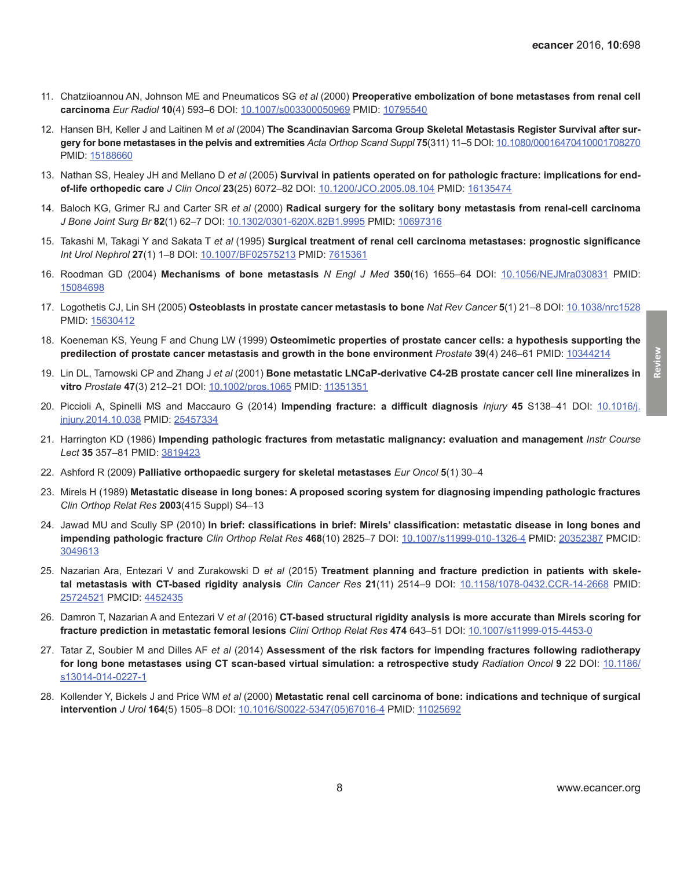- <span id="page-7-0"></span>11. Chatziioannou AN, Johnson ME and Pneumaticos SG *et al* (2000) **Preoperative embolization of bone metastases from renal cell carcinoma** *Eur Radiol* **10**(4) 593–6 DOI: [10.1007/s003300050969](http://dx.doi.org/10.1007/s003300050969) PMID: [10795540](http://www.ncbi.nlm.nih.gov/pubmed/10795540)
- 12. Hansen BH, Keller J and Laitinen M *et al* (2004) **The Scandinavian Sarcoma Group Skeletal Metastasis Register Survival after surgery for bone metastases in the pelvis and extremities** *Acta Orthop Scand Suppl* **75**(311) 11–5 DOI: [10.1080/00016470410001708270](http://dx.doi.org/10.1080/00016470410001708270) PMID: [15188660](http://www.ncbi.nlm.nih.gov/pubmed/15188660)
- 13. Nathan SS, Healey JH and Mellano D *et al* (2005) **Survival in patients operated on for pathologic fracture: implications for endof-life orthopedic care** *J Clin Oncol* **23**(25) 6072–82 DOI: [10.1200/JCO.2005.08.104](http://dx.doi.org/10.1200/JCO.2005.08.104) PMID: [16135474](http://www.ncbi.nlm.nih.gov/pubmed/16135474)
- 14. Baloch KG, Grimer RJ and Carter SR *et al* (2000) **Radical surgery for the solitary bony metastasis from renal-cell carcinoma** *J Bone Joint Surg Br* **82**(1) 62–7 DOI: [10.1302/0301-620X.82B1.9995](http://dx.doi.org/10.1302/0301-620X.82B1.9995) PMID: [10697316](http://www.ncbi.nlm.nih.gov/pubmed/10697316)
- 15. Takashi M, Takagi Y and Sakata T *et al* (1995) **Surgical treatment of renal cell carcinoma metastases: prognostic significance** *Int Urol Nephrol* **27**(1) 1–8 DOI: [10.1007/BF02575213](http://dx.doi.org/10.1007/BF02575213) PMID: [7615361](http://www.ncbi.nlm.nih.gov/pubmed/7615361)
- 16. Roodman GD (2004) **Mechanisms of bone metastasis** *N Engl J Med* **350**(16) 1655–64 DOI: [10.1056/NEJMra030831](http://dx.doi.org/10.1056/NEJMra030831) PMID: [15084698](http://www.ncbi.nlm.nih.gov/pubmed/15084698)
- 17. Logothetis CJ, Lin SH (2005) **Osteoblasts in prostate cancer metastasis to bone** *Nat Rev Cancer* **5**(1) 21–8 DOI: [10.1038/nrc1528](http://dx.doi.org/10.1038/nrc1528) PMID: [15630412](http://www.ncbi.nlm.nih.gov/pubmed/15630412)
- 18. Koeneman KS, Yeung F and Chung LW (1999) **Osteomimetic properties of prostate cancer cells: a hypothesis supporting the predilection of prostate cancer metastasis and growth in the bone environment** *Prostate* **39**(4) 246–61 PMID: [10344214](http://www.ncbi.nlm.nih.gov/pubmed/10344214)
- 19. Lin DL, Tarnowski CP and Zhang J *et al* (2001) **Bone metastatic LNCaP-derivative C4-2B prostate cancer cell line mineralizes in vitro** *Prostate* **47**(3) 212–21 DOI: [10.1002/pros.1065](http://dx.doi.org/10.1002/pros.1065) PMID: [11351351](http://www.ncbi.nlm.nih.gov/pubmed/11351351)
- 20. Piccioli A, Spinelli MS and Maccauro G (2014) **Impending fracture: a difficult diagnosis** *Injury* **45** S138–41 DOI: [10.1016/j.](http://dx.doi.org/10.1016/j.injury.2014.10.038) [injury.2014.10.038](http://dx.doi.org/10.1016/j.injury.2014.10.038) PMID: [25457334](http://www.ncbi.nlm.nih.gov/pubmed/25457334)
- 21. Harrington KD (1986) **Impending pathologic fractures from metastatic malignancy: evaluation and management** *Instr Course Lect* **35** 357–81 PMID: [3819423](http://www.ncbi.nlm.nih.gov/pubmed/3819423)
- 22. Ashford R (2009) **Palliative orthopaedic surgery for skeletal metastases** *Eur Oncol* **5**(1) 30–4
- 23. Mirels H (1989) **Metastatic disease in long bones: A proposed scoring system for diagnosing impending pathologic fractures** *Clin Orthop Relat Res* **2003**(415 Suppl) S4–13
- 24. Jawad MU and Scully SP (2010) **In brief: classifications in brief: Mirels' classification: metastatic disease in long bones and impending pathologic fracture** *Clin Orthop Relat Res* **468**(10) 2825–7 DOI: [10.1007/s11999-010-1326-4](http://dx.doi.org/10.1007/s11999-010-1326-4) PMID: [20352387](http://www.ncbi.nlm.nih.gov/pubmed/20352387) PMCID: [3049613](http://www.ncbi.nlm.nih.gov/pmc/articles/PMC3049613)
- 25. Nazarian Ara, Entezari V and Zurakowski D *et al* (2015) **Treatment planning and fracture prediction in patients with skeletal metastasis with CT-based rigidity analysis** *Clin Cancer Res* **21**(11) 2514–9 DOI: [10.1158/1078-0432.CCR-14-2668](http://dx.doi.org/10.1158/1078-0432.CCR-14-2668) PMID: [25724521](http://www.ncbi.nlm.nih.gov/pubmed/25724521) PMCID: [4452435](http://www.ncbi.nlm.nih.gov/pmc/articles/PMC4452435)
- 26. Damron T, Nazarian A and Entezari V *et al* (2016) **CT-based structural rigidity analysis is more accurate than Mirels scoring for fracture prediction in metastatic femoral lesions** *Clini Orthop Relat Res* **474** 643–51 DOI: [10.1007/s11999-015-4453-0](http://dx.doi.org/10.1007/s11999-015-4453-0)
- 27. Tatar Z, Soubier M and Dilles AF *et al* (2014) **Assessment of the risk factors for impending fractures following radiotherapy for long bone metastases using CT scan-based virtual simulation: a retrospective study** *Radiation Oncol* **9** 22 DOI: [10.1186/](http://dx.doi.org/10.1186/s13014-014-0227-1) [s13014-014-0227-1](http://dx.doi.org/10.1186/s13014-014-0227-1)
- 28. Kollender Y, Bickels J and Price WM *et al* (2000) **Metastatic renal cell carcinoma of bone: indications and technique of surgical intervention** *J Urol* **164**(5) 1505–8 DOI: [10.1016/S0022-5347\(05\)67016-4](http://dx.doi.org/10.1016/S0022-5347(05)67016-4) PMID: [11025692](http://www.ncbi.nlm.nih.gov/pubmed/11025692)